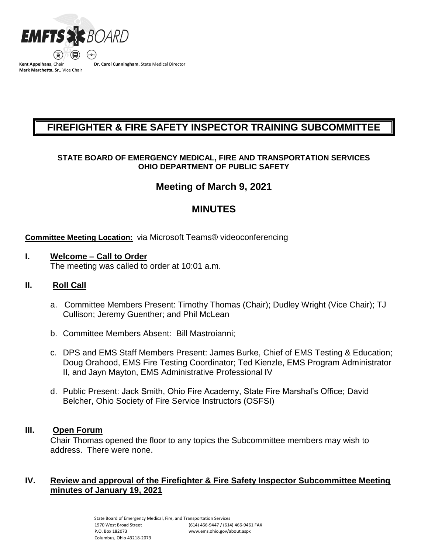

**Mark Marchetta, Sr.**, Vice Chair

**Dr. Carol Cunningham**, State Medical Director

# **FIREFIGHTER & FIRE SAFETY INSPECTOR TRAINING SUBCOMMITTEE**

### **STATE BOARD OF EMERGENCY MEDICAL, FIRE AND TRANSPORTATION SERVICES OHIO DEPARTMENT OF PUBLIC SAFETY**

# **Meeting of March 9, 2021**

# **MINUTES**

#### **Committee Meeting Location:** via Microsoft Teams® videoconferencing

### **I. Welcome – Call to Order**

The meeting was called to order at 10:01 a.m.

### **II. Roll Call**

- a. Committee Members Present: Timothy Thomas (Chair); Dudley Wright (Vice Chair); TJ Cullison; Jeremy Guenther; and Phil McLean
- b. Committee Members Absent: Bill Mastroianni;
- c. DPS and EMS Staff Members Present: James Burke, Chief of EMS Testing & Education; Doug Orahood, EMS Fire Testing Coordinator; Ted Kienzle, EMS Program Administrator II, and Jayn Mayton, EMS Administrative Professional IV
- d. Public Present: Jack Smith, Ohio Fire Academy, State Fire Marshal's Office; David Belcher, Ohio Society of Fire Service Instructors (OSFSI)

#### **III. Open Forum**

Chair Thomas opened the floor to any topics the Subcommittee members may wish to address. There were none.

### **IV. Review and approval of the Firefighter & Fire Safety Inspector Subcommittee Meeting minutes of January 19, 2021**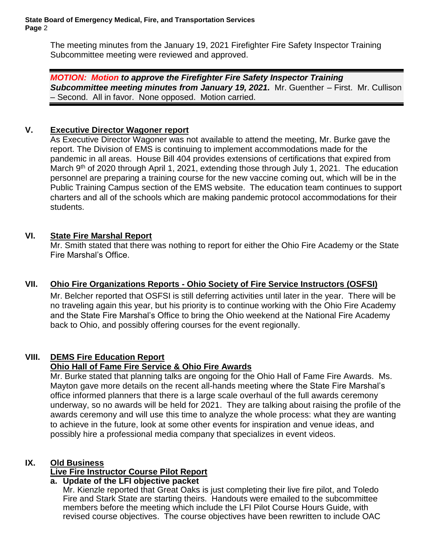The meeting minutes from the January 19, 2021 Firefighter Fire Safety Inspector Training Subcommittee meeting were reviewed and approved.

*MOTION: Motion to approve the Firefighter Fire Safety Inspector Training*  **Subcommittee meeting minutes from January 19, 2021.** Mr. Guenther – First. Mr. Cullison – Second. All in favor. None opposed. Motion carried.

## **V. Executive Director Wagoner report**

As Executive Director Wagoner was not available to attend the meeting, Mr. Burke gave the report. The Division of EMS is continuing to implement accommodations made for the pandemic in all areas. House Bill 404 provides extensions of certifications that expired from March 9<sup>th</sup> of 2020 through April 1, 2021, extending those through July 1, 2021. The education personnel are preparing a training course for the new vaccine coming out, which will be in the Public Training Campus section of the EMS website. The education team continues to support charters and all of the schools which are making pandemic protocol accommodations for their students.

### **VI. State Fire Marshal Report**

Mr. Smith stated that there was nothing to report for either the Ohio Fire Academy or the State Fire Marshal's Office.

# **VII. Ohio Fire Organizations Reports - Ohio Society of Fire Service Instructors (OSFSI)**

Mr. Belcher reported that OSFSI is still deferring activities until later in the year. There will be no traveling again this year, but his priority is to continue working with the Ohio Fire Academy and the State Fire Marshal's Office to bring the Ohio weekend at the National Fire Academy back to Ohio, and possibly offering courses for the event regionally.

# **VIII. DEMS Fire Education Report**

### **Ohio Hall of Fame Fire Service & Ohio Fire Awards**

Mr. Burke stated that planning talks are ongoing for the Ohio Hall of Fame Fire Awards. Ms. Mayton gave more details on the recent all-hands meeting where the State Fire Marshal's office informed planners that there is a large scale overhaul of the full awards ceremony underway, so no awards will be held for 2021. They are talking about raising the profile of the awards ceremony and will use this time to analyze the whole process: what they are wanting to achieve in the future, look at some other events for inspiration and venue ideas, and possibly hire a professional media company that specializes in event videos.

### **IX. Old Business**

### **Live Fire Instructor Course Pilot Report**

### **a. Update of the LFI objective packet**

Mr. Kienzle reported that Great Oaks is just completing their live fire pilot, and Toledo Fire and Stark State are starting theirs. Handouts were emailed to the subcommittee members before the meeting which include the LFI Pilot Course Hours Guide, with revised course objectives. The course objectives have been rewritten to include OAC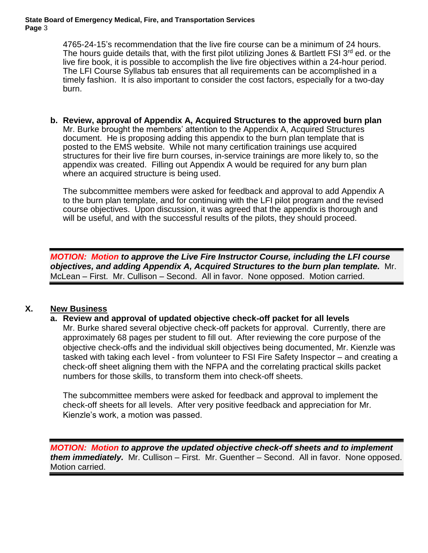#### **State Board of Emergency Medical, Fire, and Transportation Services Page** 3

4765-24-15's recommendation that the live fire course can be a minimum of 24 hours. The hours guide details that, with the first pilot utilizing Jones & Bartlett FSI  $3^{\text{rd}}$  ed. or the live fire book, it is possible to accomplish the live fire objectives within a 24-hour period. The LFI Course Syllabus tab ensures that all requirements can be accomplished in a timely fashion. It is also important to consider the cost factors, especially for a two-day burn.

**b. Review, approval of Appendix A, Acquired Structures to the approved burn plan** Mr. Burke brought the members' attention to the Appendix A, Acquired Structures document. He is proposing adding this appendix to the burn plan template that is posted to the EMS website. While not many certification trainings use acquired structures for their live fire burn courses, in-service trainings are more likely to, so the appendix was created. Filling out Appendix A would be required for any burn plan where an acquired structure is being used.

The subcommittee members were asked for feedback and approval to add Appendix A to the burn plan template, and for continuing with the LFI pilot program and the revised course objectives. Upon discussion, it was agreed that the appendix is thorough and will be useful, and with the successful results of the pilots, they should proceed.

*MOTION: Motion to approve the Live Fire Instructor Course, including the LFI course objectives, and adding Appendix A, Acquired Structures to the burn plan template.* Mr. McLean – First. Mr. Cullison – Second. All in favor. None opposed. Motion carried.

# **X. New Business**

### **a. Review and approval of updated objective check-off packet for all levels**

Mr. Burke shared several objective check-off packets for approval. Currently, there are approximately 68 pages per student to fill out. After reviewing the core purpose of the objective check-offs and the individual skill objectives being documented, Mr. Kienzle was tasked with taking each level - from volunteer to FSI Fire Safety Inspector – and creating a check-off sheet aligning them with the NFPA and the correlating practical skills packet numbers for those skills, to transform them into check-off sheets.

The subcommittee members were asked for feedback and approval to implement the check-off sheets for all levels. After very positive feedback and appreciation for Mr. Kienzle's work, a motion was passed.

*MOTION: Motion to approve the updated objective check-off sheets and to implement them immediately.* Mr. Cullison – First. Mr. Guenther – Second. All in favor. None opposed. Motion carried.